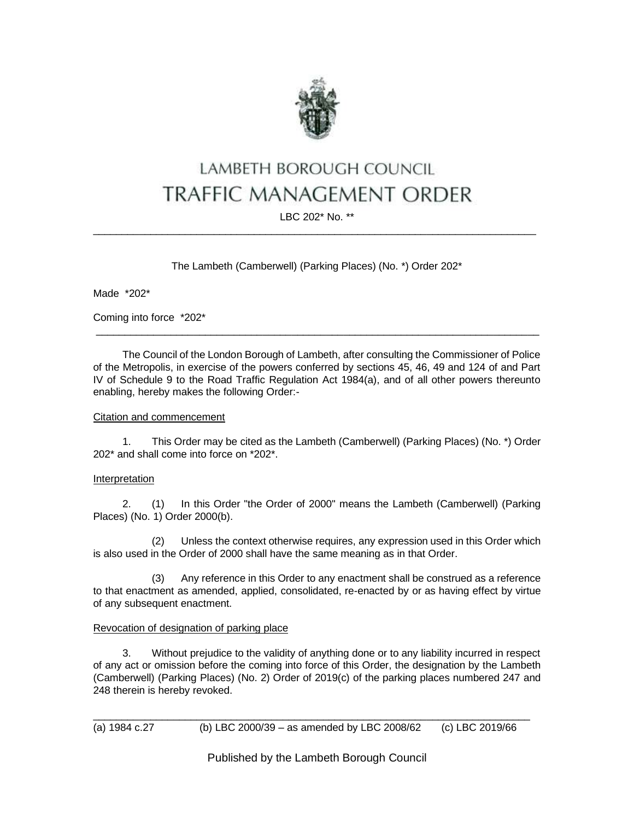

# LAMBETH BOROUGH COUNCIL TRAFFIC MANAGEMENT ORDER

## LBC 202\* No. \*\* \_\_\_\_\_\_\_\_\_\_\_\_\_\_\_\_\_\_\_\_\_\_\_\_\_\_\_\_\_\_\_\_\_\_\_\_\_\_\_\_\_\_\_\_\_\_\_\_\_\_\_\_\_\_\_\_\_\_\_\_\_\_\_\_\_\_\_\_\_\_\_\_\_\_\_\_\_

The Lambeth (Camberwell) (Parking Places) (No. \*) Order 202\*

Made \*202\*

Coming into force \*202\*

The Council of the London Borough of Lambeth, after consulting the Commissioner of Police of the Metropolis, in exercise of the powers conferred by sections 45, 46, 49 and 124 of and Part IV of Schedule 9 to the Road Traffic Regulation Act 1984(a), and of all other powers thereunto enabling, hereby makes the following Order:-

 $\_$  ,  $\_$  ,  $\_$  ,  $\_$  ,  $\_$  ,  $\_$  ,  $\_$  ,  $\_$  ,  $\_$  ,  $\_$  ,  $\_$  ,  $\_$  ,  $\_$  ,  $\_$  ,  $\_$  ,  $\_$  ,  $\_$  ,  $\_$  ,  $\_$  ,  $\_$  ,  $\_$  ,  $\_$  ,  $\_$  ,  $\_$  ,  $\_$  ,  $\_$  ,  $\_$  ,  $\_$  ,  $\_$  ,  $\_$  ,  $\_$  ,  $\_$  ,  $\_$  ,  $\_$  ,  $\_$  ,  $\_$  ,  $\_$  ,

### Citation and commencement

1. This Order may be cited as the Lambeth (Camberwell) (Parking Places) (No. \*) Order 202\* and shall come into force on \*202\*.

### Interpretation

2. (1) In this Order "the Order of 2000" means the Lambeth (Camberwell) (Parking Places) (No. 1) Order 2000(b).

(2) Unless the context otherwise requires, any expression used in this Order which is also used in the Order of 2000 shall have the same meaning as in that Order.

(3) Any reference in this Order to any enactment shall be construed as a reference to that enactment as amended, applied, consolidated, re-enacted by or as having effect by virtue of any subsequent enactment.

## Revocation of designation of parking place

3. Without prejudice to the validity of anything done or to any liability incurred in respect of any act or omission before the coming into force of this Order, the designation by the Lambeth (Camberwell) (Parking Places) (No. 2) Order of 2019(c) of the parking places numbered 247 and 248 therein is hereby revoked.

Published by the Lambeth Borough Council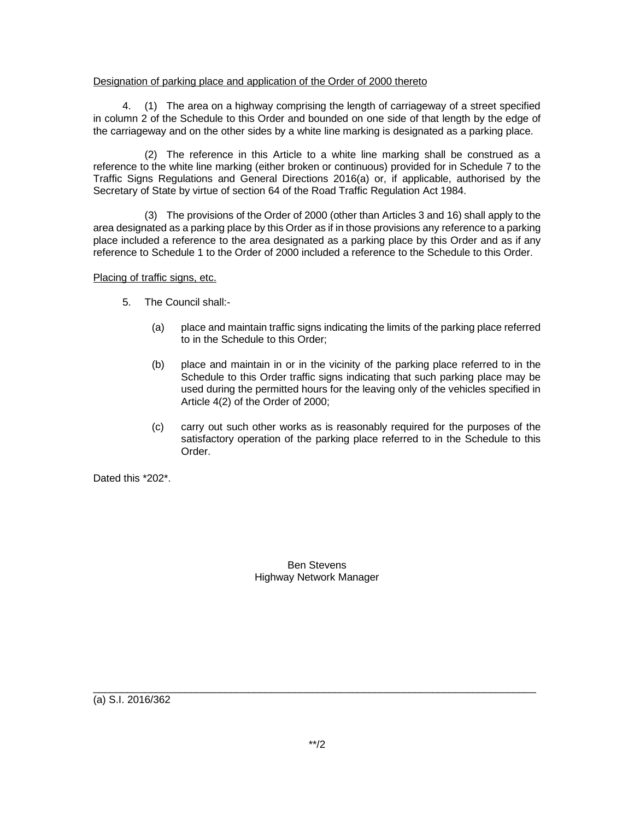### Designation of parking place and application of the Order of 2000 thereto

4. (1) The area on a highway comprising the length of carriageway of a street specified in column 2 of the Schedule to this Order and bounded on one side of that length by the edge of the carriageway and on the other sides by a white line marking is designated as a parking place.

(2) The reference in this Article to a white line marking shall be construed as a reference to the white line marking (either broken or continuous) provided for in Schedule 7 to the Traffic Signs Regulations and General Directions 2016(a) or, if applicable, authorised by the Secretary of State by virtue of section 64 of the Road Traffic Regulation Act 1984.

(3) The provisions of the Order of 2000 (other than Articles 3 and 16) shall apply to the area designated as a parking place by this Order as if in those provisions any reference to a parking place included a reference to the area designated as a parking place by this Order and as if any reference to Schedule 1 to the Order of 2000 included a reference to the Schedule to this Order.

Placing of traffic signs, etc.

- 5. The Council shall:-
	- (a) place and maintain traffic signs indicating the limits of the parking place referred to in the Schedule to this Order;
	- (b) place and maintain in or in the vicinity of the parking place referred to in the Schedule to this Order traffic signs indicating that such parking place may be used during the permitted hours for the leaving only of the vehicles specified in Article 4(2) of the Order of 2000;
	- (c) carry out such other works as is reasonably required for the purposes of the satisfactory operation of the parking place referred to in the Schedule to this Order.

Dated this \*202\*.

Ben Stevens Highway Network Manager

(a) S.I. 2016/362

 $\_$  ,  $\_$  ,  $\_$  ,  $\_$  ,  $\_$  ,  $\_$  ,  $\_$  ,  $\_$  ,  $\_$  ,  $\_$  ,  $\_$  ,  $\_$  ,  $\_$  ,  $\_$  ,  $\_$  ,  $\_$  ,  $\_$  ,  $\_$  ,  $\_$  ,  $\_$  ,  $\_$  ,  $\_$  ,  $\_$  ,  $\_$  ,  $\_$  ,  $\_$  ,  $\_$  ,  $\_$  ,  $\_$  ,  $\_$  ,  $\_$  ,  $\_$  ,  $\_$  ,  $\_$  ,  $\_$  ,  $\_$  ,  $\_$  ,